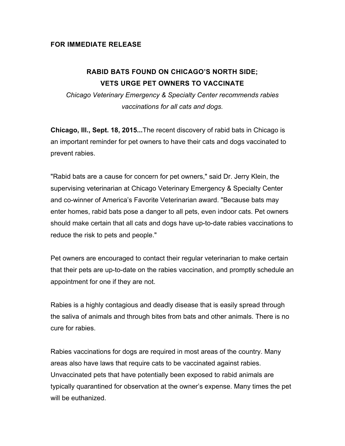## **FOR IMMEDIATE RELEASE**

## **RABID BATS FOUND ON CHICAGO'S NORTH SIDE; VETS URGE PET OWNERS TO VACCINATE**

*Chicago Veterinary Emergency & Specialty Center recommends rabies vaccinations for all cats and dogs.*

**Chicago, Ill., Sept. 18, 2015...**The recent discovery of rabid bats in Chicago is an important reminder for pet owners to have their cats and dogs vaccinated to prevent rabies.

"Rabid bats are a cause for concern for pet owners," said Dr. Jerry Klein, the supervising veterinarian at Chicago Veterinary Emergency & Specialty Center and co-winner of America's Favorite Veterinarian award. "Because bats may enter homes, rabid bats pose a danger to all pets, even indoor cats. Pet owners should make certain that all cats and dogs have up-to-date rabies vaccinations to reduce the risk to pets and people."

Pet owners are encouraged to contact their regular veterinarian to make certain that their pets are up-to-date on the rabies vaccination, and promptly schedule an appointment for one if they are not.

Rabies is a highly contagious and deadly disease that is easily spread through the saliva of animals and through bites from bats and other animals. There is no cure for rabies.

Rabies vaccinations for dogs are required in most areas of the country. Many areas also have laws that require cats to be vaccinated against rabies. Unvaccinated pets that have potentially been exposed to rabid animals are typically quarantined for observation at the owner's expense. Many times the pet will be euthanized.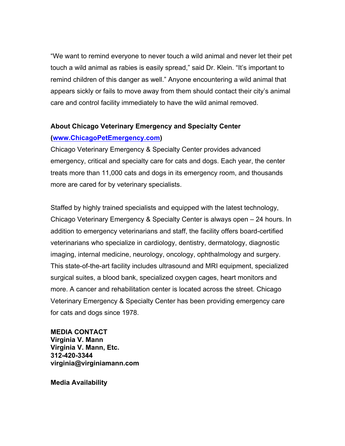"We want to remind everyone to never touch a wild animal and never let their pet touch a wild animal as rabies is easily spread," said Dr. Klein. "It's important to remind children of this danger as well." Anyone encountering a wild animal that appears sickly or fails to move away from them should contact their city's animal care and control facility immediately to have the wild animal removed.

## **About Chicago Veterinary Emergency and Specialty Center**

## **(www.ChicagoPetEmergency.com)**

Chicago Veterinary Emergency & Specialty Center provides advanced emergency, critical and specialty care for cats and dogs. Each year, the center treats more than 11,000 cats and dogs in its emergency room, and thousands more are cared for by veterinary specialists.

Staffed by highly trained specialists and equipped with the latest technology, Chicago Veterinary Emergency & Specialty Center is always open – 24 hours. In addition to emergency veterinarians and staff, the facility offers board-certified veterinarians who specialize in cardiology, dentistry, dermatology, diagnostic imaging, internal medicine, neurology, oncology, ophthalmology and surgery. This state-of-the-art facility includes ultrasound and MRI equipment, specialized surgical suites, a blood bank, specialized oxygen cages, heart monitors and more. A cancer and rehabilitation center is located across the street. Chicago Veterinary Emergency & Specialty Center has been providing emergency care for cats and dogs since 1978.

**MEDIA CONTACT Virginia V. Mann Virginia V. Mann, Etc. 312-420-3344 virginia@virginiamann.com**

**Media Availability**